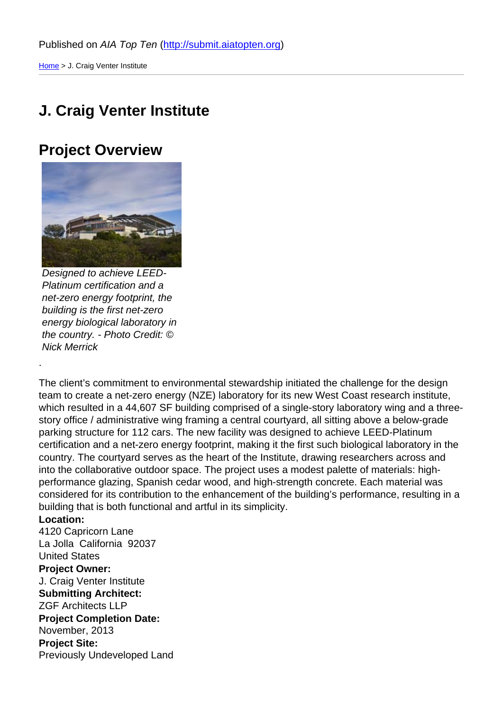### [J. C](http://submit.aiatopten.org/)raig Venter Institute

#### Project Overview

Designed to achieve LEED-Platinum certification and a net-zero energy footprint, the building is the first net-zero energy biological laboratory in the country. - Photo Credit: © Nick Merrick

.

The client's commitment to environmental stewardship initiated the challenge for the design team to create a net-zero energy (NZE) laboratory for its new West Coast research institute, which resulted in a 44,607 SF building comprised of a single-story laboratory wing and a threestory office / administrative wing framing a central courtyard, all sitting above a below-grade parking structure for 112 cars. The new facility was designed to achieve LEED-Platinum certification and a net-zero energy footprint, making it the first such biological laboratory in the country. The courtyard serves as the heart of the Institute, drawing researchers across and into the collaborative outdoor space. The project uses a modest palette of materials: highperformance glazing, Spanish cedar wood, and high-strength concrete. Each material was considered for its contribution to the enhancement of the building's performance, resulting in a building that is both functional and artful in its simplicity.

Location: 4120 Capricorn Lane La Jolla California 92037 United States Project Owner: J. Craig Venter Institute Submitting Architect: ZGF Architects LLP Project Completion Date: November, 2013 Project Site: Previously Undeveloped Land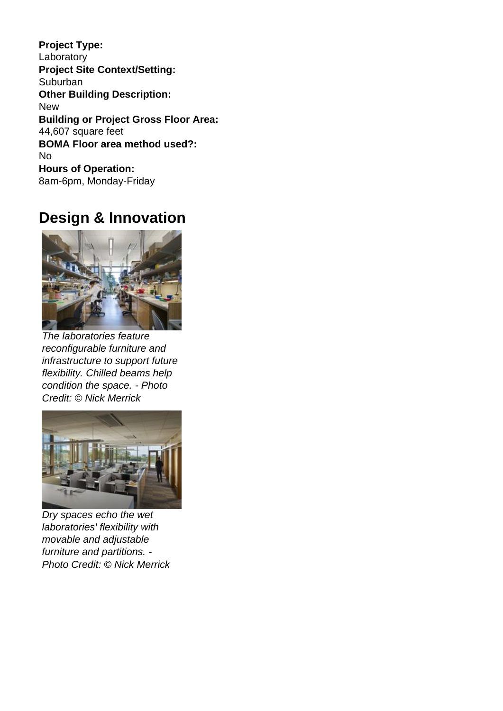**Project Type:**  Laboratory **Project Site Context/Setting: Suburban Other Building Description:**  New **Building or Project Gross Floor Area:**  44,607 square feet **BOMA Floor area method used?:**  No **Hours of Operation:**  8am-6pm, Monday-Friday

### **Design & Innovation**



The laboratories feature reconfigurable furniture and infrastructure to support future flexibility. Chilled beams help condition the space. - Photo Credit: © Nick Merrick



Dry spaces echo the wet laboratories' flexibility with movable and adjustable furniture and partitions. - Photo Credit: © Nick Merrick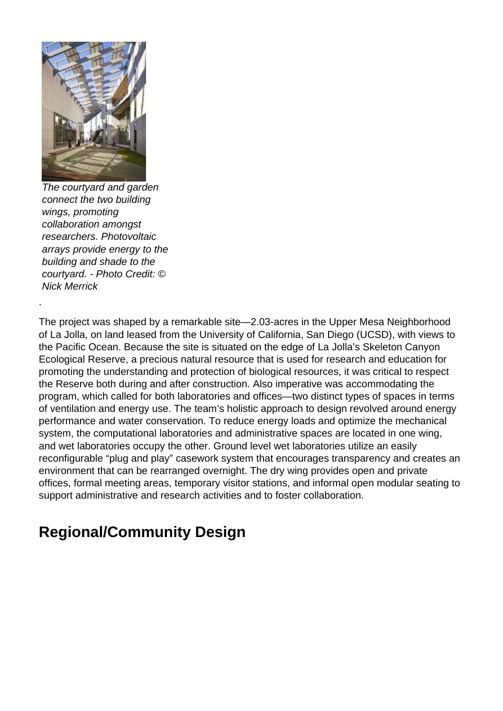

The courtyard and garden connect the two building wings, promoting collaboration amongst researchers. Photovoltaic arrays provide energy to the building and shade to the courtyard. - Photo Credit: © Nick Merrick

The project was shaped by a remarkable site—2.03-acres in the Upper Mesa Neighborhood of La Jolla, on land leased from the University of California, San Diego (UCSD), with views to the Pacific Ocean. Because the site is situated on the edge of La Jolla's Skeleton Canyon Ecological Reserve, a precious natural resource that is used for research and education for promoting the understanding and protection of biological resources, it was critical to respect the Reserve both during and after construction. Also imperative was accommodating the program, which called for both laboratories and offices—two distinct types of spaces in terms of ventilation and energy use. The team's holistic approach to design revolved around energy performance and water conservation. To reduce energy loads and optimize the mechanical system, the computational laboratories and administrative spaces are located in one wing, and wet laboratories occupy the other. Ground level wet laboratories utilize an easily reconfigurable "plug and play" casework system that encourages transparency and creates an environment that can be rearranged overnight. The dry wing provides open and private offices, formal meeting areas, temporary visitor stations, and informal open modular seating to support administrative and research activities and to foster collaboration.

# **Regional/Community Design**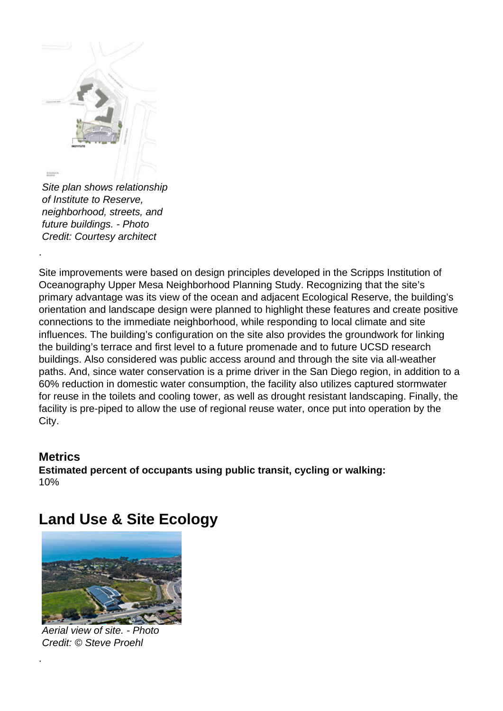

of Institute to Reserve, neighborhood, streets, and future buildings. - Photo Credit: Courtesy architect

Site improvements were based on design principles developed in the Scripps Institution of Oceanography Upper Mesa Neighborhood Planning Study. Recognizing that the site's primary advantage was its view of the ocean and adjacent Ecological Reserve, the building's orientation and landscape design were planned to highlight these features and create positive connections to the immediate neighborhood, while responding to local climate and site influences. The building's configuration on the site also provides the groundwork for linking the building's terrace and first level to a future promenade and to future UCSD research buildings. Also considered was public access around and through the site via all-weather paths. And, since water conservation is a prime driver in the San Diego region, in addition to a 60% reduction in domestic water consumption, the facility also utilizes captured stormwater for reuse in the toilets and cooling tower, as well as drought resistant landscaping. Finally, the facility is pre-piped to allow the use of regional reuse water, once put into operation by the City.

#### **Metrics Estimated percent of occupants using public transit, cycling or walking:**  10%

# **Land Use & Site Ecology**



Aerial view of site. - Photo Credit: © Steve Proehl

.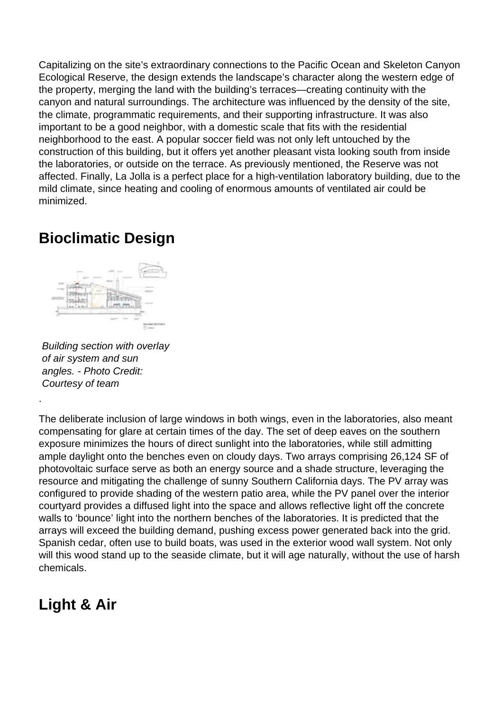Capitalizing on the site's extraordinary connections to the Pacific Ocean and Skeleton Canyon Ecological Reserve, the design extends the landscape's character along the western edge of the property, merging the land with the building's terraces—creating continuity with the canyon and natural surroundings. The architecture was influenced by the density of the site, the climate, programmatic requirements, and their supporting infrastructure. It was also important to be a good neighbor, with a domestic scale that fits with the residential neighborhood to the east. A popular soccer field was not only left untouched by the construction of this building, but it offers yet another pleasant vista looking south from inside the laboratories, or outside on the terrace. As previously mentioned, the Reserve was not affected. Finally, La Jolla is a perfect place for a high-ventilation laboratory building, due to the mild climate, since heating and cooling of enormous amounts of ventilated air could be minimized.

# **Bioclimatic Design**



Building section with overlay of air system and sun angles. - Photo Credit: Courtesy of team

.

The deliberate inclusion of large windows in both wings, even in the laboratories, also meant compensating for glare at certain times of the day. The set of deep eaves on the southern exposure minimizes the hours of direct sunlight into the laboratories, while still admitting ample daylight onto the benches even on cloudy days. Two arrays comprising 26,124 SF of photovoltaic surface serve as both an energy source and a shade structure, leveraging the resource and mitigating the challenge of sunny Southern California days. The PV array was configured to provide shading of the western patio area, while the PV panel over the interior courtyard provides a diffused light into the space and allows reflective light off the concrete walls to 'bounce' light into the northern benches of the laboratories. It is predicted that the arrays will exceed the building demand, pushing excess power generated back into the grid. Spanish cedar, often use to build boats, was used in the exterior wood wall system. Not only will this wood stand up to the seaside climate, but it will age naturally, without the use of harsh chemicals.

# **Light & Air**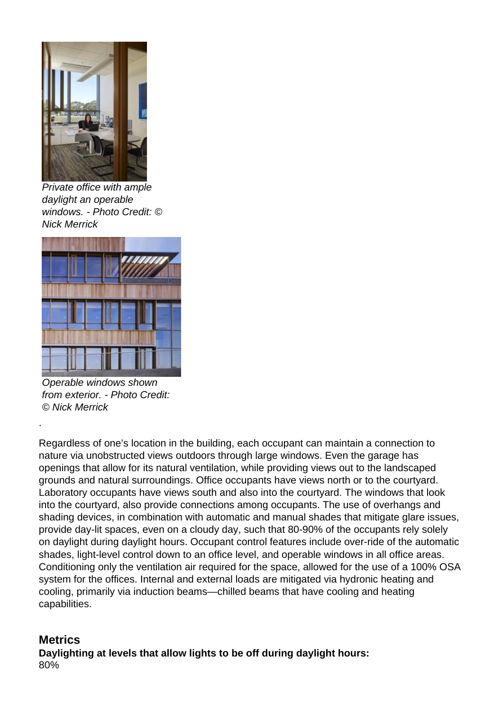

Private office with ample daylight an operable windows. - Photo Credit: © Nick Merrick



Operable windows shown from exterior. - Photo Credit: © Nick Merrick

Regardless of one's location in the building, each occupant can maintain a connection to nature via unobstructed views outdoors through large windows. Even the garage has openings that allow for its natural ventilation, while providing views out to the landscaped grounds and natural surroundings. Office occupants have views north or to the courtyard. Laboratory occupants have views south and also into the courtyard. The windows that look into the courtyard, also provide connections among occupants. The use of overhangs and shading devices, in combination with automatic and manual shades that mitigate glare issues, provide day-lit spaces, even on a cloudy day, such that 80-90% of the occupants rely solely on daylight during daylight hours. Occupant control features include over-ride of the automatic shades, light-level control down to an office level, and operable windows in all office areas. Conditioning only the ventilation air required for the space, allowed for the use of a 100% OSA system for the offices. Internal and external loads are mitigated via hydronic heating and cooling, primarily via induction beams—chilled beams that have cooling and heating capabilities.

#### **Metrics**

.

**Daylighting at levels that allow lights to be off during daylight hours:**  80%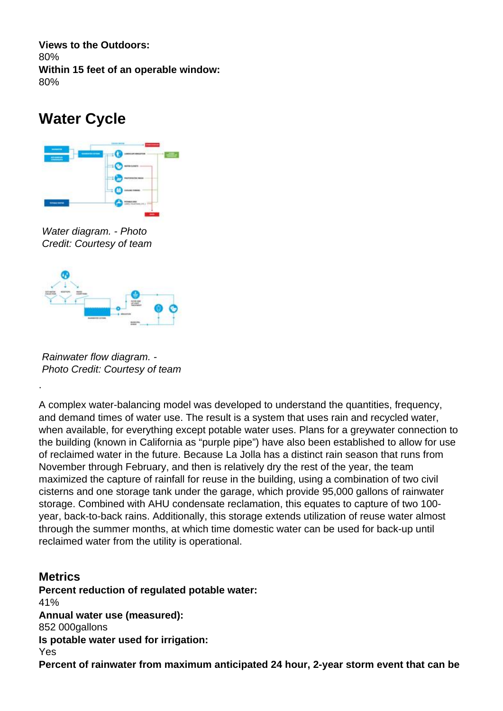**Views to the Outdoors:**  80% **Within 15 feet of an operable window:**  80%

### **Water Cycle**



Water diagram. - Photo Credit: Courtesy of team



Rainwater flow diagram. - Photo Credit: Courtesy of team

.

A complex water-balancing model was developed to understand the quantities, frequency, and demand times of water use. The result is a system that uses rain and recycled water, when available, for everything except potable water uses. Plans for a greywater connection to the building (known in California as "purple pipe") have also been established to allow for use of reclaimed water in the future. Because La Jolla has a distinct rain season that runs from November through February, and then is relatively dry the rest of the year, the team maximized the capture of rainfall for reuse in the building, using a combination of two civil cisterns and one storage tank under the garage, which provide 95,000 gallons of rainwater storage. Combined with AHU condensate reclamation, this equates to capture of two 100 year, back-to-back rains. Additionally, this storage extends utilization of reuse water almost through the summer months, at which time domestic water can be used for back-up until reclaimed water from the utility is operational.

**Metrics Percent reduction of regulated potable water:**  41% **Annual water use (measured):**  852 000gallons **Is potable water used for irrigation:**  Yes **Percent of rainwater from maximum anticipated 24 hour, 2-year storm event that can be**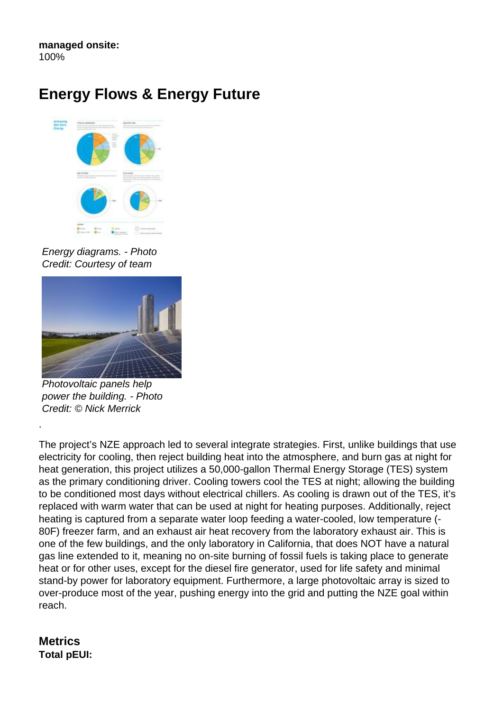**managed onsite:**  100%

### **Energy Flows & Energy Future**



Energy diagrams. - Photo Credit: Courtesy of team



Photovoltaic panels help power the building. - Photo Credit: © Nick Merrick

.

The project's NZE approach led to several integrate strategies. First, unlike buildings that use electricity for cooling, then reject building heat into the atmosphere, and burn gas at night for heat generation, this project utilizes a 50,000-gallon Thermal Energy Storage (TES) system as the primary conditioning driver. Cooling towers cool the TES at night; allowing the building to be conditioned most days without electrical chillers. As cooling is drawn out of the TES, it's replaced with warm water that can be used at night for heating purposes. Additionally, reject heating is captured from a separate water loop feeding a water-cooled, low temperature (- 80F) freezer farm, and an exhaust air heat recovery from the laboratory exhaust air. This is one of the few buildings, and the only laboratory in California, that does NOT have a natural gas line extended to it, meaning no on-site burning of fossil fuels is taking place to generate heat or for other uses, except for the diesel fire generator, used for life safety and minimal stand-by power for laboratory equipment. Furthermore, a large photovoltaic array is sized to over-produce most of the year, pushing energy into the grid and putting the NZE goal within reach.

#### **Metrics Total pEUI:**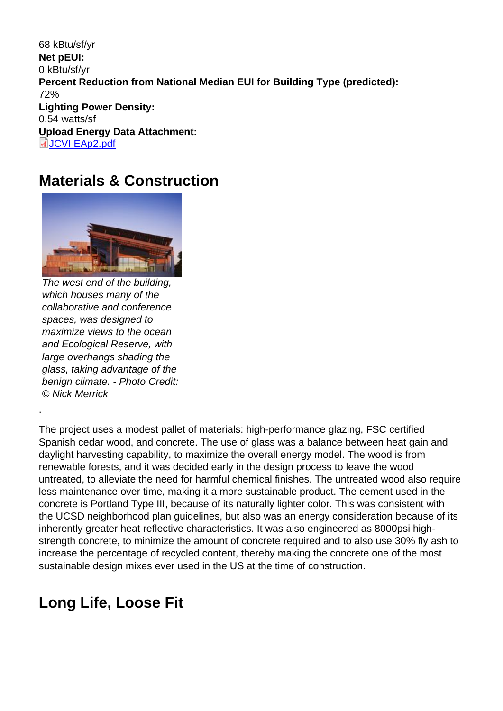68 kBtu/sf/yr Net pEUI: 0 kBtu/sf/yr Percent Reduction from National Median EUI for Building Type (predicted): 72% Lighting Power Density: 0.54 watts/sf Upload Energy Data Attachment: JCVI EAp2.pdf

#### [Materials &](http://submit.aiatopten.org/sites/default/files/JCVI EAp2.pdf) Construction

The west end of the building, which houses many of the collaborative and conference spaces, was designed to maximize views to the ocean and Ecological Reserve, with large overhangs shading the glass, taking advantage of the benign climate. - Photo Credit: © Nick Merrick

.

The project uses a modest pallet of materials: high-performance glazing, FSC certified Spanish cedar wood, and concrete. The use of glass was a balance between heat gain and daylight harvesting capability, to maximize the overall energy model. The wood is from renewable forests, and it was decided early in the design process to leave the wood untreated, to alleviate the need for harmful chemical finishes. The untreated wood also require less maintenance over time, making it a more sustainable product. The cement used in the concrete is Portland Type III, because of its naturally lighter color. This was consistent with the UCSD neighborhood plan guidelines, but also was an energy consideration because of its inherently greater heat reflective characteristics. It was also engineered as 8000psi highstrength concrete, to minimize the amount of concrete required and to also use 30% fly ash to increase the percentage of recycled content, thereby making the concrete one of the most sustainable design mixes ever used in the US at the time of construction.

#### Long Life, Loose Fit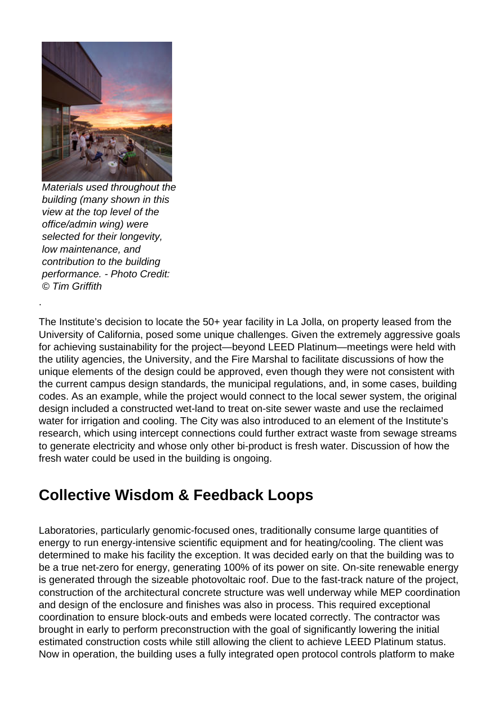

Materials used throughout the building (many shown in this view at the top level of the office/admin wing) were selected for their longevity. low maintenance, and contribution to the building performance. - Photo Credit: © Tim Griffith

The Institute's decision to locate the 50+ year facility in La Jolla, on property leased from the University of California, posed some unique challenges. Given the extremely aggressive goals for achieving sustainability for the project—beyond LEED Platinum—meetings were held with the utility agencies, the University, and the Fire Marshal to facilitate discussions of how the unique elements of the design could be approved, even though they were not consistent with the current campus design standards, the municipal regulations, and, in some cases, building codes. As an example, while the project would connect to the local sewer system, the original design included a constructed wet-land to treat on-site sewer waste and use the reclaimed water for irrigation and cooling. The City was also introduced to an element of the Institute's research, which using intercept connections could further extract waste from sewage streams to generate electricity and whose only other bi-product is fresh water. Discussion of how the fresh water could be used in the building is ongoing.

### **Collective Wisdom & Feedback Loops**

Laboratories, particularly genomic-focused ones, traditionally consume large quantities of energy to run energy-intensive scientific equipment and for heating/cooling. The client was determined to make his facility the exception. It was decided early on that the building was to be a true net-zero for energy, generating 100% of its power on site. On-site renewable energy is generated through the sizeable photovoltaic roof. Due to the fast-track nature of the project, construction of the architectural concrete structure was well underway while MEP coordination and design of the enclosure and finishes was also in process. This required exceptional coordination to ensure block-outs and embeds were located correctly. The contractor was brought in early to perform preconstruction with the goal of significantly lowering the initial estimated construction costs while still allowing the client to achieve LEED Platinum status. Now in operation, the building uses a fully integrated open protocol controls platform to make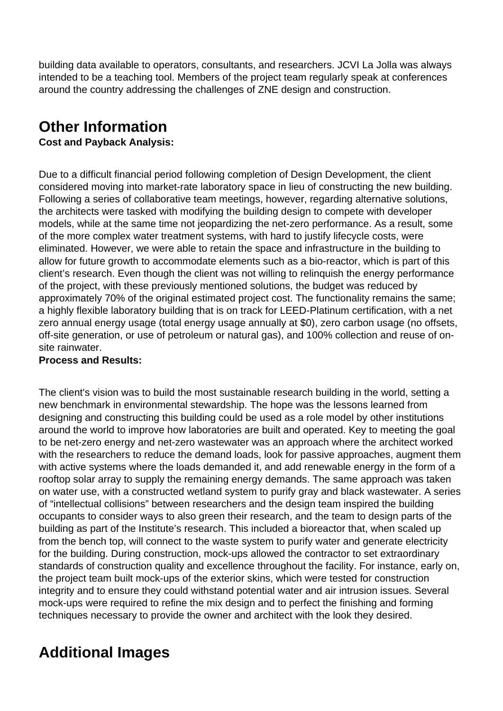building data available to operators, consultants, and researchers. JCVI La Jolla was always intended to be a teaching tool. Members of the project team regularly speak at conferences around the country addressing the challenges of ZNE design and construction.

# **Other Information**

#### **Cost and Payback Analysis:**

Due to a difficult financial period following completion of Design Development, the client considered moving into market-rate laboratory space in lieu of constructing the new building. Following a series of collaborative team meetings, however, regarding alternative solutions, the architects were tasked with modifying the building design to compete with developer models, while at the same time not jeopardizing the net-zero performance. As a result, some of the more complex water treatment systems, with hard to justify lifecycle costs, were eliminated. However, we were able to retain the space and infrastructure in the building to allow for future growth to accommodate elements such as a bio-reactor, which is part of this client's research. Even though the client was not willing to relinquish the energy performance of the project, with these previously mentioned solutions, the budget was reduced by approximately 70% of the original estimated project cost. The functionality remains the same; a highly flexible laboratory building that is on track for LEED-Platinum certification, with a net zero annual energy usage (total energy usage annually at \$0), zero carbon usage (no offsets, off-site generation, or use of petroleum or natural gas), and 100% collection and reuse of onsite rainwater.

#### **Process and Results:**

The client's vision was to build the most sustainable research building in the world, setting a new benchmark in environmental stewardship. The hope was the lessons learned from designing and constructing this building could be used as a role model by other institutions around the world to improve how laboratories are built and operated. Key to meeting the goal to be net-zero energy and net-zero wastewater was an approach where the architect worked with the researchers to reduce the demand loads, look for passive approaches, augment them with active systems where the loads demanded it, and add renewable energy in the form of a rooftop solar array to supply the remaining energy demands. The same approach was taken on water use, with a constructed wetland system to purify gray and black wastewater. A series of "intellectual collisions" between researchers and the design team inspired the building occupants to consider ways to also green their research, and the team to design parts of the building as part of the Institute's research. This included a bioreactor that, when scaled up from the bench top, will connect to the waste system to purify water and generate electricity for the building. During construction, mock-ups allowed the contractor to set extraordinary standards of construction quality and excellence throughout the facility. For instance, early on, the project team built mock-ups of the exterior skins, which were tested for construction integrity and to ensure they could withstand potential water and air intrusion issues. Several mock-ups were required to refine the mix design and to perfect the finishing and forming techniques necessary to provide the owner and architect with the look they desired.

# **Additional Images**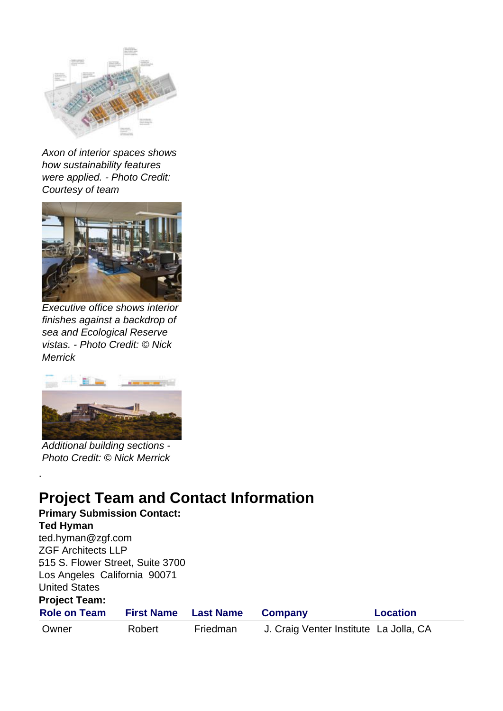

Axon of interior spaces shows how sustainability features were applied. - Photo Credit: Courtesy of team



Executive office shows interior finishes against a backdrop of sea and Ecological Reserve vistas. - Photo Credit: © Nick **Merrick** 



Additional building sections - Photo Credit: © Nick Merrick

# **Project Team and Contact Information**

| <b>Primary Submission Contact:</b> |                   |                  |                                        |                 |  |  |
|------------------------------------|-------------------|------------------|----------------------------------------|-----------------|--|--|
| <b>Ted Hyman</b>                   |                   |                  |                                        |                 |  |  |
| ted.hyman@zgf.com                  |                   |                  |                                        |                 |  |  |
| <b>ZGF Architects LLP</b>          |                   |                  |                                        |                 |  |  |
| 515 S. Flower Street, Suite 3700   |                   |                  |                                        |                 |  |  |
| Los Angeles California 90071       |                   |                  |                                        |                 |  |  |
| <b>United States</b>               |                   |                  |                                        |                 |  |  |
| <b>Project Team:</b>               |                   |                  |                                        |                 |  |  |
| <b>Role on Team</b>                | <b>First Name</b> | <b>Last Name</b> | <b>Company</b>                         | <b>Location</b> |  |  |
| Owner                              | Robert            | Friedman         | J. Craig Venter Institute La Jolla, CA |                 |  |  |